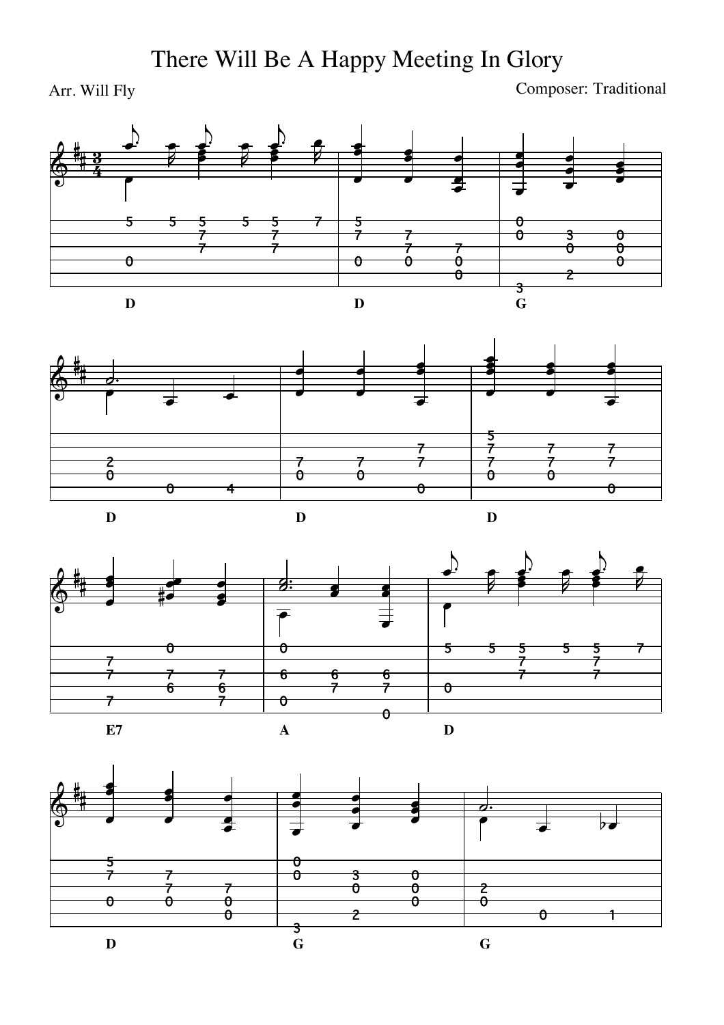## There Will Be A Happy Meeting In Glory

Arr. Will Fly Composer: Traditional







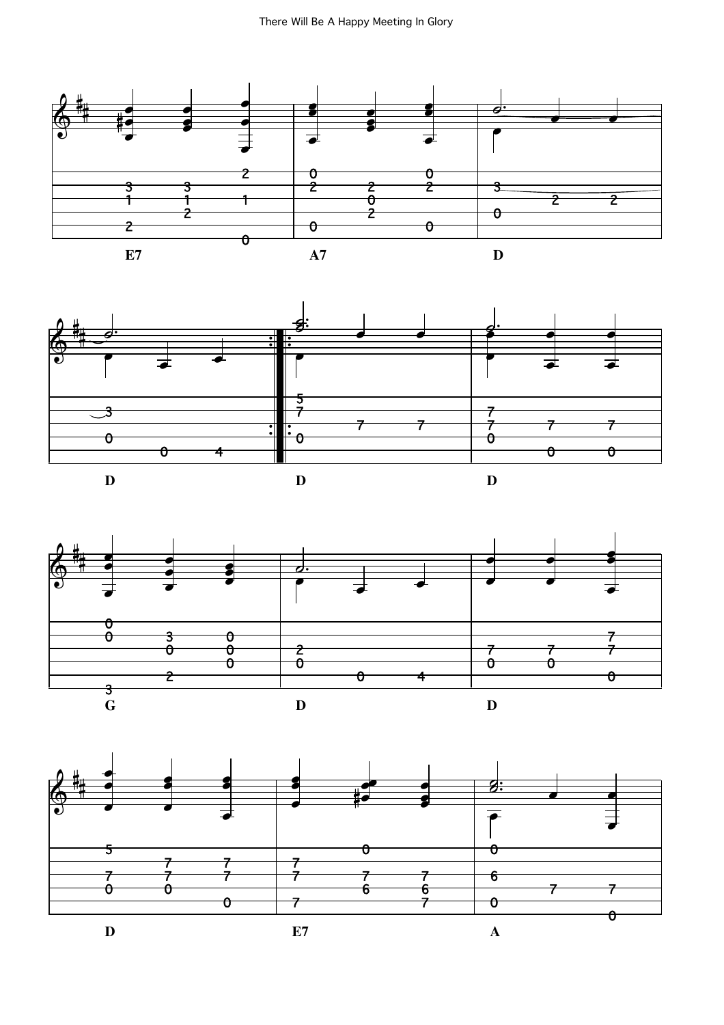